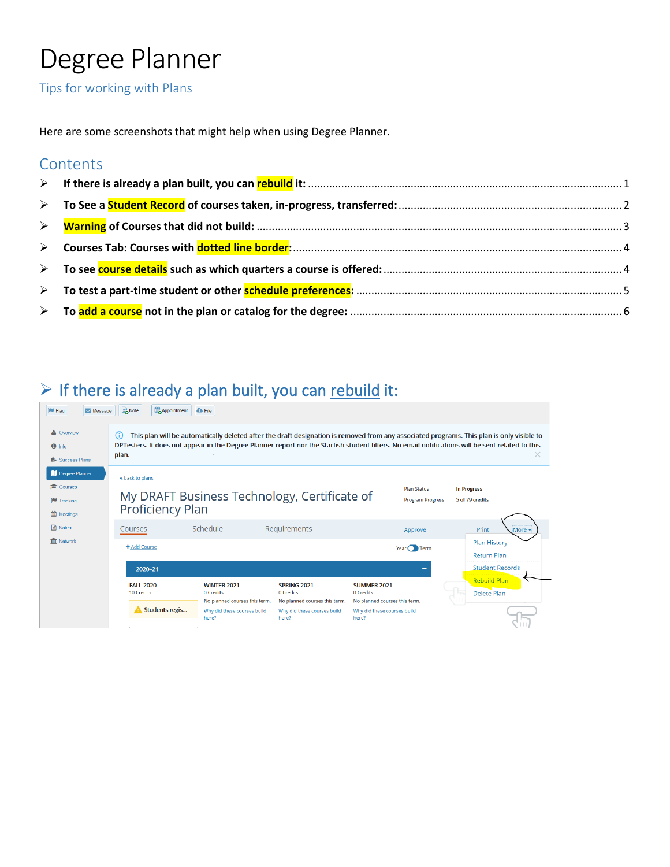# Degree Planner<br>Tips for working with Plans

Here are some screenshots that might help when using Degree Planner.

#### **Contents**

### <span id="page-0-0"></span> $\triangleright$  If there is already a plan built, you can rebuild it:

| $\blacksquare$ Message<br><b>E</b> Flag                               | Note<br>Appointment                                                                                                                                                                                                                                                                                                | <b>C</b> File                                                    |                                                                  |                                                                  |                                                                     |  |
|-----------------------------------------------------------------------|--------------------------------------------------------------------------------------------------------------------------------------------------------------------------------------------------------------------------------------------------------------------------------------------------------------------|------------------------------------------------------------------|------------------------------------------------------------------|------------------------------------------------------------------|---------------------------------------------------------------------|--|
| & Overview<br>$\bigcirc$ Info<br><b>R</b> Success Plans               | This plan will be automatically deleted after the draft designation is removed from any associated programs. This plan is only visible to<br>(i)<br>DPTesters. It does not appear in the Degree Planner report nor the Starfish student filters. No email notifications will be sent related to this<br>plan.<br>× |                                                                  |                                                                  |                                                                  |                                                                     |  |
| Degree Planner<br>Courses<br><b>F</b> Tracking<br><b>fff</b> Meetings | « back to plans<br><b>Plan Status</b><br><b>In Progress</b><br>My DRAFT Business Technology, Certificate of<br><b>Program Progress</b><br>5 of 79 credits<br><b>Proficiency Plan</b>                                                                                                                               |                                                                  |                                                                  |                                                                  |                                                                     |  |
| ⊟ Notes<br><b>III</b> Network                                         | Courses<br>+ Add Course                                                                                                                                                                                                                                                                                            | Schedule                                                         | Requirements                                                     | Approve<br>Year $\bigcap$ Term                                   | Print<br>More -<br><b>Plan History</b>                              |  |
|                                                                       | 2020-21                                                                                                                                                                                                                                                                                                            |                                                                  |                                                                  | -                                                                | <b>Return Plan</b><br><b>Student Records</b><br><b>Rebuild Plan</b> |  |
|                                                                       | <b>FALL 2020</b><br><b>10 Credits</b>                                                                                                                                                                                                                                                                              | <b>WINTER 2021</b><br>0 Credits<br>No planned courses this term. | <b>SPRING 2021</b><br>0 Credits<br>No planned courses this term. | <b>SUMMER 2021</b><br>0 Credits<br>No planned courses this term. | <b>Delete Plan</b>                                                  |  |
|                                                                       | <b>Students regis</b>                                                                                                                                                                                                                                                                                              | Why did these courses build<br>here?                             | Why did these courses build<br>here?                             | Why did these courses build<br>here?                             |                                                                     |  |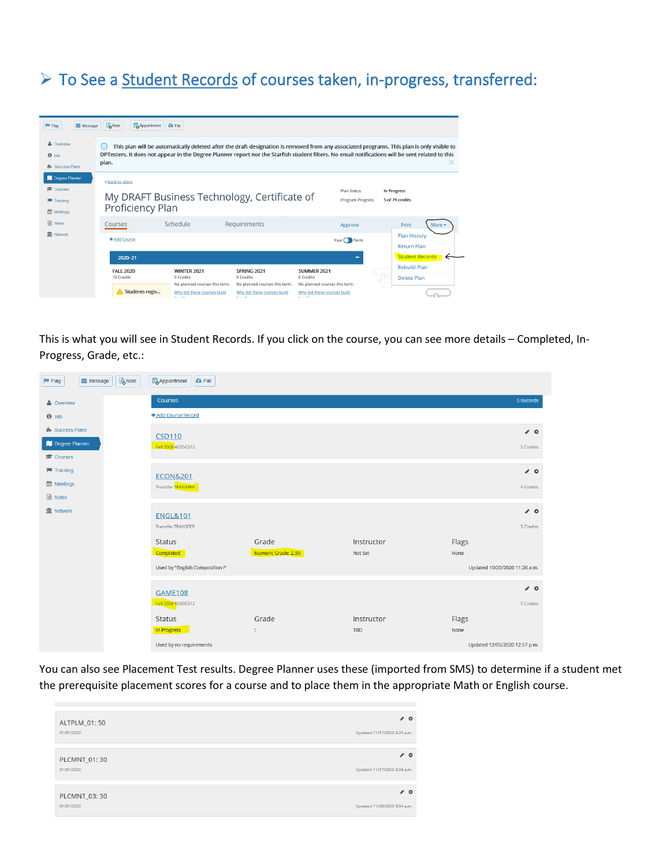#### <span id="page-1-0"></span>▶ To See a Student Records of courses taken, in-progress, transferred:

| <b>Flag</b><br>Message                                                     | Note<br>Appointment                   | <b>C</b> File                                                    |                                                                  |                                                                  |                                                                                                                                                                                                                                                                                                    |
|----------------------------------------------------------------------------|---------------------------------------|------------------------------------------------------------------|------------------------------------------------------------------|------------------------------------------------------------------|----------------------------------------------------------------------------------------------------------------------------------------------------------------------------------------------------------------------------------------------------------------------------------------------------|
| & Overview<br>$f$ info<br><b>B</b> Success Plans                           | G)<br>plan.                           |                                                                  |                                                                  |                                                                  | This plan will be automatically deleted after the draft designation is removed from any associated programs. This plan is only visible to<br>DPTesters. It does not appear in the Degree Planner report nor the Starfish student filters. No email notifications will be sent related to this<br>x |
| Degree Planner<br><b>Courses</b><br><b>F</b> Tracking<br><b>M</b> Meetings | « back to plans<br>Proficiency Plan   | My DRAFT Business Technology, Certificate of                     |                                                                  | <b>Plan Status</b><br><b>Program Progress</b>                    | <b>In Progress</b><br>5 of 79 credits                                                                                                                                                                                                                                                              |
| <b>■</b> Notes                                                             | Courses                               | Schedule                                                         | Requirements                                                     | Approve                                                          | Print<br>More •                                                                                                                                                                                                                                                                                    |
| <b>III</b> Network                                                         | + Add Course                          |                                                                  |                                                                  | Year $\bigcap$ Term                                              | <b>Plan History</b><br><b>Return Plan</b>                                                                                                                                                                                                                                                          |
|                                                                            | 2020-21                               |                                                                  |                                                                  | -                                                                | <b>Student Records</b>                                                                                                                                                                                                                                                                             |
|                                                                            | <b>FALL 2020</b><br><b>10 Credits</b> | <b>WINTER 2021</b><br>0 Credits<br>No planned courses this term. | <b>SPRING 2021</b><br>0 Credits<br>No planned courses this term. | <b>SUMMER 2021</b><br>0 Credits<br>No planned courses this term. | <b>Rebuild Plan</b><br>Delete Plan                                                                                                                                                                                                                                                                 |
|                                                                            | Students regis                        | Why did these courses build<br><b>Basico</b>                     | Why did these courses build<br><b>Basico</b>                     | Why did these courses build<br><b>Barbara</b>                    |                                                                                                                                                                                                                                                                                                    |

This is what you will see in Student Records. If you click on the course, you can see more details – Completed, In-Progress, Grade, etc.:

| Message<br><b>E</b> Flag | Note | Appointment<br><b>G</b> File    |                     |            |                               |
|--------------------------|------|---------------------------------|---------------------|------------|-------------------------------|
| & Overview               |      | Courses                         |                     |            | 5 Records                     |
| $\theta$ Info            |      | + Add Course Record             |                     |            |                               |
| <b>N</b> Success Plans   |      | <b>CSD110</b>                   |                     |            | $\theta$ 0                    |
| Degree Planner           |      | Fall 2020 4055C012              |                     |            | 5 Credits                     |
| Courses                  |      |                                 |                     |            |                               |
| <b>M</b> Tracking        |      | <b>ECON&amp;201</b>             |                     |            | $\bullet$ 0                   |
| th Meetings              |      | Transfer TRANSFER               |                     |            | 4 Credits                     |
| <b>■</b> Notes           |      |                                 |                     |            |                               |
| <b>血</b> Network         |      | <b>ENGL&amp;101</b>             |                     |            | $\mathcal{L}$ 0               |
|                          |      | <b>Transfer TRANSFER</b>        |                     |            | 5 Credits                     |
|                          |      | <b>Status</b>                   | Grade               | Instructor | Flags                         |
|                          |      | Completed                       | Numeric Grade: 2.30 | Not Set    | None                          |
|                          |      | Used by "English Composition I" |                     |            | Updated 10/20/2020 11:26 a.m. |
|                          |      |                                 |                     |            | $\mathcal{L}$ 0               |
|                          |      | <b>GAME108</b>                  |                     |            |                               |
|                          |      | Fall 2020 9260C012              |                     |            | 5 Credits                     |
|                          |      | <b>Status</b>                   | Grade               | Instructor | <b>Flags</b>                  |
|                          |      | In Progress                     | ÷.                  | <b>TBD</b> | None                          |
|                          |      | Used by no requirements         |                     |            | Updated 12/05/2020 12:57 p.m. |

You can also see Placement Test results. Degree Planner uses these (imported from SMS) to determine if a student met the prerequisite placement scores for a course and to place them in the appropriate Math or English course.

| ALTPLM_01:50        | $\epsilon$ o                 |
|---------------------|------------------------------|
| 01/01/2020          | Updated 11/17/2020 3:24 a.m. |
| PLCMNT_01:30        | $\theta$                     |
| 01/01/2020          | Updated 11/17/2020 3:24 a.m. |
| <b>PLCMNT 03:30</b> | $\theta$                     |
| 01/01/2020          | Updated 11/30/2020 3:54 a.m. |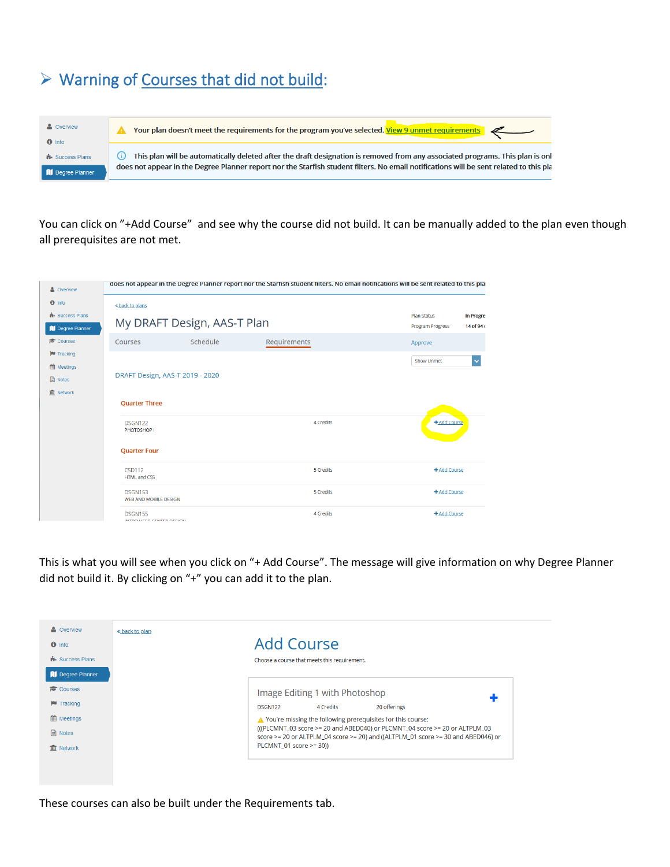### <span id="page-2-0"></span>Warning of Courses that did not build:

| <b>A</b> Overview<br>$\theta$ Info                | Your plan doesn't meet the requirements for the program you've selected. View 9 unmet requirements                                                                                                                                                                                           |
|---------------------------------------------------|----------------------------------------------------------------------------------------------------------------------------------------------------------------------------------------------------------------------------------------------------------------------------------------------|
| <b>B</b> Success Plans<br><b>I</b> Degree Planner | This plan will be automatically deleted after the draft designation is removed from any associated programs. This plan is onl<br>$\left( i\right)$<br>does not appear in the Degree Planner report nor the Starfish student filters. No email notifications will be sent related to this pla |

You can click on "+Add Course" and see why the course did not build. It can be manually added to the plan even though all prerequisites are not met.

| & Overview                                         |                                                |          | does not appear in the Degree Planner report nor the Starfish student filters. No email notifications will be sent related to this plai |                                                                                  |
|----------------------------------------------------|------------------------------------------------|----------|-----------------------------------------------------------------------------------------------------------------------------------------|----------------------------------------------------------------------------------|
| $\theta$ Info                                      | « back to plans                                |          |                                                                                                                                         |                                                                                  |
| <b>H</b> Success Plans<br><b>II</b> Degree Planner | My DRAFT Design, AAS-T Plan                    |          |                                                                                                                                         | <b>Plan Status</b><br><b>In Progres</b><br><b>Program Progress</b><br>14 of 94 c |
| Courses                                            | Courses                                        | Schedule | Requirements                                                                                                                            | Approve                                                                          |
| <b>Tracking</b><br>th Meetings                     |                                                |          |                                                                                                                                         | Show Unmet                                                                       |
|                                                    | DRAFT Design, AAS-T 2019 - 2020                |          |                                                                                                                                         |                                                                                  |
| <b>血</b> Network                                   | <b>Quarter Three</b>                           |          |                                                                                                                                         |                                                                                  |
|                                                    | <b>DSGN122</b><br>PHOTOSHOP I                  |          | 4 Credits                                                                                                                               | + Add Course                                                                     |
|                                                    | <b>Quarter Four</b>                            |          |                                                                                                                                         |                                                                                  |
|                                                    | <b>CSD112</b><br><b>HTML and CSS</b>           |          | 5 Credits                                                                                                                               | + Add Course                                                                     |
|                                                    | <b>DSGN153</b><br><b>WEB AND MOBILE DESIGN</b> |          | 5 Credits                                                                                                                               | + Add Course                                                                     |
|                                                    | <b>DSGN155</b>                                 |          | 4 Credits                                                                                                                               | + Add Course                                                                     |

This is what you will see when you click on "+ Add Course". The message will give information on why Degree Planner did not build it. By clicking on "+" you can add it to the plan.

| & Overview<br>« back to plan<br>$\theta$ Info | Add Course                                                                                                                                                       |
|-----------------------------------------------|------------------------------------------------------------------------------------------------------------------------------------------------------------------|
| <b>B</b> Success Plans                        | Choose a course that meets this requirement.                                                                                                                     |
| Degree Planner                                |                                                                                                                                                                  |
| Courses                                       | Image Editing 1 with Photoshop                                                                                                                                   |
| <b>Tracking</b>                               | 20 offerings<br>4 Credits<br><b>DSGN122</b>                                                                                                                      |
| <b>Meetings</b>                               | △ You're missing the following prerequisites for this course:                                                                                                    |
| $\Box$ Notes                                  | (((PLCMNT_03 score >= 20 and ABED040) or PLCMNT_04 score >= 20 or ALTPLM_03<br>score >= 20 or ALTPLM 04 score >= 20) and ((ALTPLM 01 score >= 30 and ABED046) or |
| <b>III</b> Network                            | PLCMNT 01 score >= 30))                                                                                                                                          |

These courses can also be built under the Requirements tab.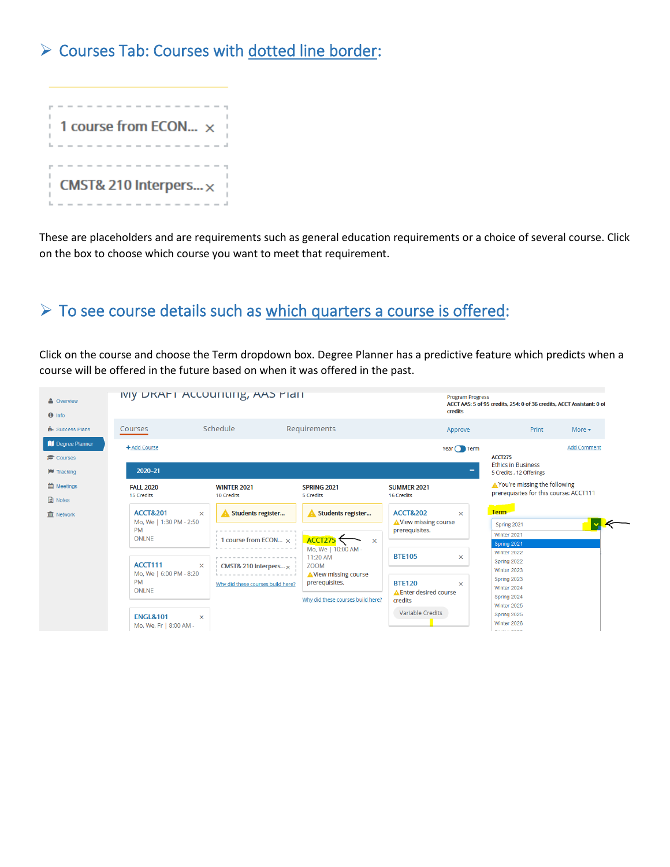#### <span id="page-3-0"></span>▶ Courses Tab: Courses with dotted line border:



These are placeholders and are requirements such as general education requirements or a choice of several course. Click on the box to choose which course you want to meet that requirement.

#### <span id="page-3-1"></span>To see course details such as which quarters a course is offered:

Click on the course and choose the Term dropdown box. Degree Planner has a predictive feature which predicts when a course will be offered in the future based on when it was offered in the past.

| & Overview<br>$\theta$ Info       | IVIY DRAFT ACCOUTILITY, AAS MICH                                                                                                                                                                                                                                                                                                                                      |                                       |                                                                                                | credits                                                   | <b>Program Progress</b><br>ACCT AAS: 5 of 95 credits, 254: 0 of 36 credits, ACCT Assistant: 0 of |  |  |  |
|-----------------------------------|-----------------------------------------------------------------------------------------------------------------------------------------------------------------------------------------------------------------------------------------------------------------------------------------------------------------------------------------------------------------------|---------------------------------------|------------------------------------------------------------------------------------------------|-----------------------------------------------------------|--------------------------------------------------------------------------------------------------|--|--|--|
| <b>H</b> Success Plans            | Courses                                                                                                                                                                                                                                                                                                                                                               | Schedule                              | Requirements                                                                                   | Approve                                                   | Print<br>More $\blacktriangleright$                                                              |  |  |  |
| Degree Planner<br>Courses         | + Add Course                                                                                                                                                                                                                                                                                                                                                          |                                       |                                                                                                |                                                           | <b>Add Comment</b><br>Year $\bigcap$ Term<br><b>ACCT275</b>                                      |  |  |  |
| <b>E</b> Tracking                 | 2020-21                                                                                                                                                                                                                                                                                                                                                               |                                       |                                                                                                | <b>Ethics in Business</b><br>-<br>5 Credits, 12 Offerings |                                                                                                  |  |  |  |
| <b>Meetings</b><br><b>■</b> Notes | <b>FALL 2020</b><br><b>WINTER 2021</b><br>10 Credits<br>15 Credits<br>Students register<br><b>ACCT&amp;201</b><br>$\times$<br>Mo, We   1:30 PM - 2:50<br><b>PM</b><br><b>ONLNE</b><br>1 course from ECON $\times$<br>ACCT111<br>$\times$<br>CMST& 210 Interpers $\times$<br>Mo, We   6:00 PM - 8:20<br><b>PM</b><br>Why did these courses build here?<br><b>ONLNE</b> |                                       | <b>SPRING 2021</b><br>5 Credits                                                                | <b>SUMMER 2021</b><br>16 Credits                          | ▲ You're missing the following<br>prerequisites for this course: ACCT111                         |  |  |  |
| <b>III</b> Network                |                                                                                                                                                                                                                                                                                                                                                                       |                                       | Students register<br>ACCT275<br>$\mathbf{x}$<br>Mo, We   10:00 AM -<br>11:20 AM<br><b>ZOOM</b> | <b>ACCT&amp;202</b><br>$\mathsf{x}$                       | <b>Term</b>                                                                                      |  |  |  |
|                                   |                                                                                                                                                                                                                                                                                                                                                                       |                                       |                                                                                                | Niew missing course<br>prerequisites.                     | Spring 2021<br>Winter 2021                                                                       |  |  |  |
|                                   |                                                                                                                                                                                                                                                                                                                                                                       |                                       |                                                                                                | <b>BTE105</b><br>$\times$                                 | Spring 2021<br>Winter 2022<br>Spring 2022                                                        |  |  |  |
|                                   |                                                                                                                                                                                                                                                                                                                                                                       | Niew missing course<br>prerequisites. | <b>BTE120</b><br>$\times$<br>▲ Enter desired course                                            | Winter 2023<br>Spring 2023<br>Winter 2024<br>Spring 2024  |                                                                                                  |  |  |  |
|                                   | <b>ENGL&amp;101</b><br>Mo, We, Fr   8:00 AM -                                                                                                                                                                                                                                                                                                                         | $\times$                              | Why did these courses build here?                                                              | credits<br>Variable Credits                               | Winter 2025<br>Spring 2025<br>Winter 2026<br>$A = A + B$                                         |  |  |  |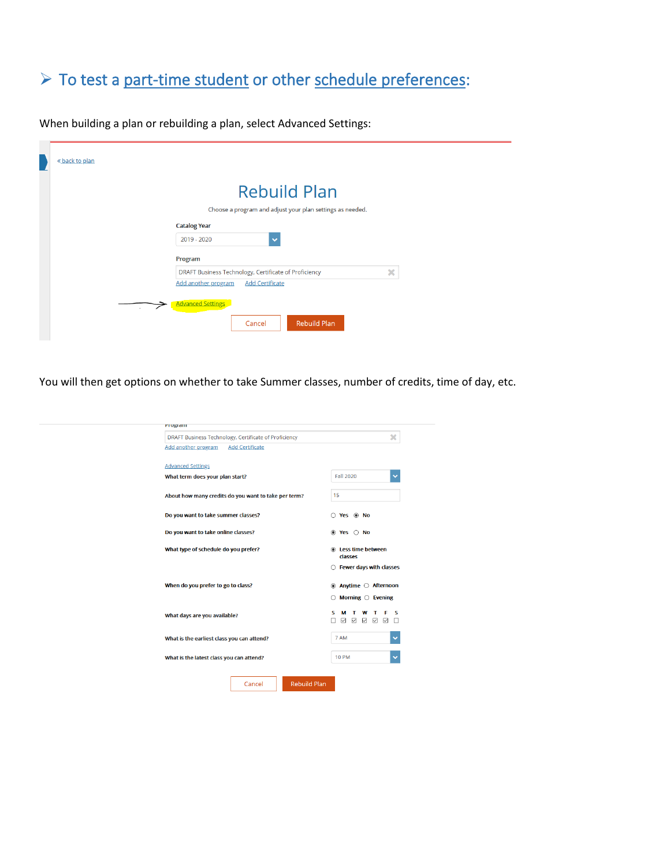#### <span id="page-4-0"></span>> To test a part-time student or other schedule preferences:

« back to plan **Rebuild Plan** Choose a program and adjust your plan settings as needed. **Catalog Year** 2019 - 2020  $\blacktriangledown$ Program DRAFT Business Technology, Certificate of Proficiency  $\mathbf{x}$ Add another program Add Certificate Advanced Settings Rebuild Plan Cancel

When building a plan or rebuilding a plan, select Advanced Settings:

You will then get options on whether to take Summer classes, number of credits, time of day, etc.

<span id="page-4-1"></span>

| <b>PTUGLATI</b>                                       |                                                                                     |
|-------------------------------------------------------|-------------------------------------------------------------------------------------|
| DRAFT Business Technology, Certificate of Proficiency | ×                                                                                   |
| <b>Add Certificate</b><br>Add another program         |                                                                                     |
| <b>Advanced Settings</b>                              |                                                                                     |
| What term does your plan start?                       | <b>Fall 2020</b><br>v                                                               |
|                                                       |                                                                                     |
| About how many credits do you want to take per term?  | 15                                                                                  |
| Do you want to take summer classes?                   | $\bigcirc$ Yes $\circledast$ No                                                     |
| Do you want to take online classes?                   | $\circledcirc$ Yes $\circlearrowright$ No                                           |
| What type of schedule do you prefer?                  | <b>Ess time between</b><br>classes                                                  |
|                                                       | ○ Fewer days with classes                                                           |
| When do you prefer to go to class?                    | $\bullet$ Anytime $\circ$ Afternoon                                                 |
|                                                       | $\bigcirc$ Morning $\bigcirc$ Evening                                               |
| What days are you available?                          | т<br>s<br>s<br>м<br>w<br>т<br>$\boxdot$<br>☑<br>$\triangledown$<br>☑<br>☑<br>П<br>п |
| What is the earliest class you can attend?            | 7 AM                                                                                |
| What is the latest class you can attend?              | <b>10 PM</b>                                                                        |
| <b>Rebuild Plan</b><br>Cancel                         |                                                                                     |